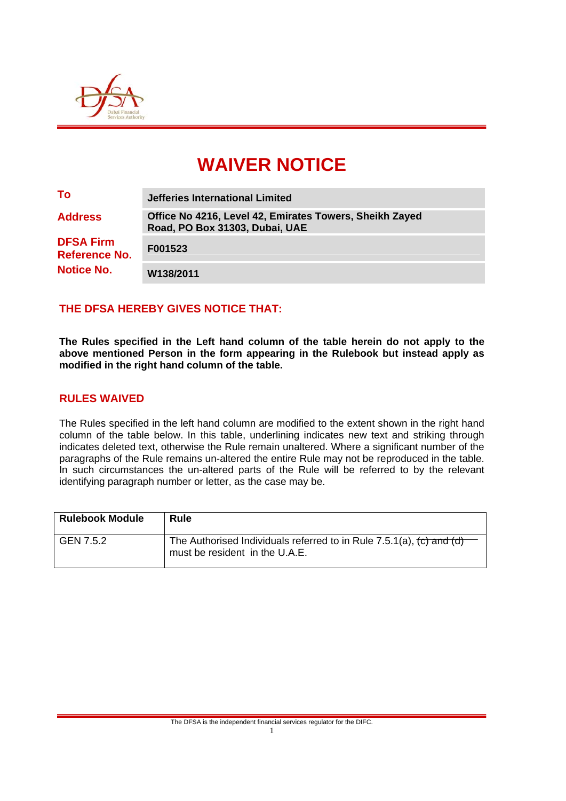

# **WAIVER NOTICE**

| To                                       | <b>Jefferies International Limited</b>                                                    |
|------------------------------------------|-------------------------------------------------------------------------------------------|
| <b>Address</b>                           | Office No 4216, Level 42, Emirates Towers, Sheikh Zayed<br>Road, PO Box 31303, Dubai, UAE |
| <b>DFSA Firm</b><br><b>Reference No.</b> | F001523                                                                                   |
| <b>Notice No.</b>                        | W138/2011                                                                                 |

## **THE DFSA HEREBY GIVES NOTICE THAT:**

**The Rules specified in the Left hand column of the table herein do not apply to the above mentioned Person in the form appearing in the Rulebook but instead apply as modified in the right hand column of the table.** 

#### **RULES WAIVED**

The Rules specified in the left hand column are modified to the extent shown in the right hand column of the table below. In this table, underlining indicates new text and striking through indicates deleted text, otherwise the Rule remain unaltered. Where a significant number of the paragraphs of the Rule remains un-altered the entire Rule may not be reproduced in the table. In such circumstances the un-altered parts of the Rule will be referred to by the relevant identifying paragraph number or letter, as the case may be.

| <b>Rulebook Module</b> | Rule                                                                                                                                   |
|------------------------|----------------------------------------------------------------------------------------------------------------------------------------|
| GEN 7.5.2              | The Authorised Individuals referred to in Rule 7.5.1(a), $\langle c \rangle$ and $\langle d \rangle$<br>must be resident in the U.A.E. |